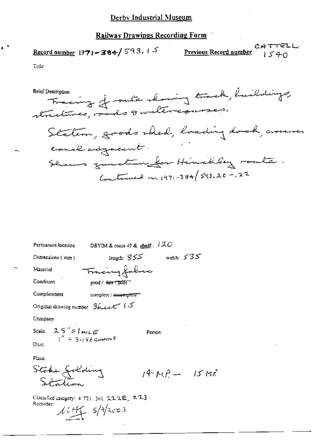#### Railway Drawings Recording Form

Record number 1971-384/593, 15

CATTELL Previous Record number  $1540$ 

MË

Title

Fracing of outs showing track, huildings, Station, goods shed, loading dock, conver courl adjacent. Shows gauction for Hinchley route. Continued on  $(97) - 384/593.20 - 22$ 

| Permanent location                                                                          | DBYIM & room 49 & shelf : .      | 120          |  |
|---------------------------------------------------------------------------------------------|----------------------------------|--------------|--|
| Dimensions $(mn)$                                                                           | ككك length: 3                    | width: $535$ |  |
| Material                                                                                    | Fracingfolice                    |              |  |
| Condition                                                                                   | good / <del>lain 1900 r</del>    |              |  |
| Completeness                                                                                | complete / <del>incomplete</del> |              |  |
| Original drawing number $S$ <i>for the <math>\mathcal{F}</math></i>                         |                                  |              |  |
| Company:                                                                                    |                                  |              |  |
| Scale. $25'' = 1 \text{ m} \text{Lg}$<br>$\frac{1}{2} = 3.156 \text{ cm} \text{m} \text{s}$ | Person:                          |              |  |
| Date:                                                                                       |                                  |              |  |
| Place:                                                                                      |                                  |              |  |
| Stohe Jolding<br>Staten                                                                     |                                  | $14 - 15$    |  |
|                                                                                             |                                  |              |  |

Classified category: 4-721:301, 2,2,2,E, 2,2,3 Recorder:  $11.146$   $5/9/2003$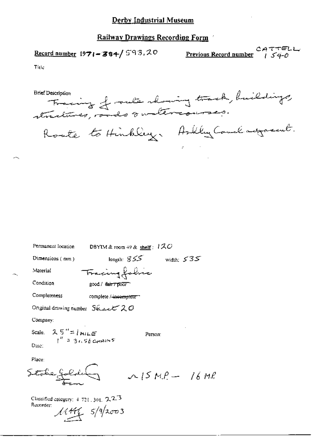# Derby Industrial Museum

# **Railway Drawings Recording Form**

Record number  $1971 - 384$ / 593.20

CATTELL<br>Previous Record number 1540

Title

Tracing of rule showing track, buildings, Roate to Hinkley. Askley Couch adjoint.

| Permanent Iocation                                        |                                       | DBYIM & room $49$ & shelf: $170$ |              |  |
|-----------------------------------------------------------|---------------------------------------|----------------------------------|--------------|--|
| $Dimensions$ ( $mm$ )                                     |                                       | length: $855$                    | width: $535$ |  |
| Material                                                  | Fracing folic                         |                                  |              |  |
| Condition                                                 | good / fair / pour                    |                                  |              |  |
| Completeness                                              | complete / <del>-incomplete</del> ''' |                                  |              |  |
| Original drawing number $S\&subz \subset \mathcal{Z}$ $O$ |                                       |                                  |              |  |
| Company:                                                  |                                       |                                  |              |  |
| Scale $2.5'' =  m\mu_{E} $<br>$1'' = 3.656$ CHAINS        |                                       | Person:                          |              |  |
| Dще;                                                      |                                       |                                  |              |  |
| Place:                                                    |                                       |                                  |              |  |
|                                                           |                                       | $\sim$ 15 M.P. $-$ 16 M.P.       |              |  |
|                                                           |                                       |                                  |              |  |

Classified category: 4-721, 301, 2-2-3 Recorder:  $11446$   $5/9/2003$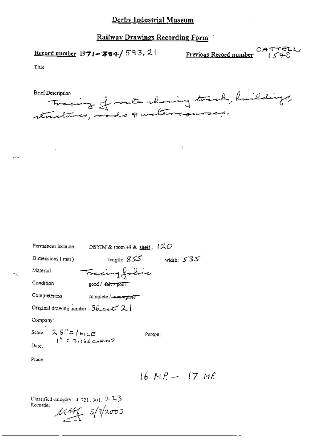Railway Drawings Recording Form

Record number  $1971 - 384 / 593$ , 2

CATTELL<br>Previous Record number (540

Title

 $\overline{a}$ 

Tracing of route showing track, huildings, **Brief Description** 

 $\mathcal{F}$ 

| Permanent location                                 | DBYIM & room $+9$ & shelf: $1 \text{ } \mathcal{A} \text{ } C$ |                  |
|----------------------------------------------------|----------------------------------------------------------------|------------------|
| Dimensions $(mn)$                                  | ككك :length                                                    | width: $535$     |
| Material                                           | Fracing folice                                                 |                  |
| Condition                                          | good / <del>Eair / poor</del>                                  |                  |
| Completeness                                       | complete / incomplete                                          |                  |
| Original drawing number $S_{\⊂>z \⊂>1$             |                                                                |                  |
| Company:                                           |                                                                |                  |
| Scale: $25'' = 1$ milles<br>$1^6 = 3.156$ carriers | Person:                                                        |                  |
| Date:                                              |                                                                |                  |
| Place:                                             |                                                                |                  |
|                                                    |                                                                | 16 M.P. — 17 M.P |
|                                                    |                                                                |                  |

Classified category:  $4-721$ , 301,  $2-2-3$ Recorder:

 $11.4465$   $5/9/2003$